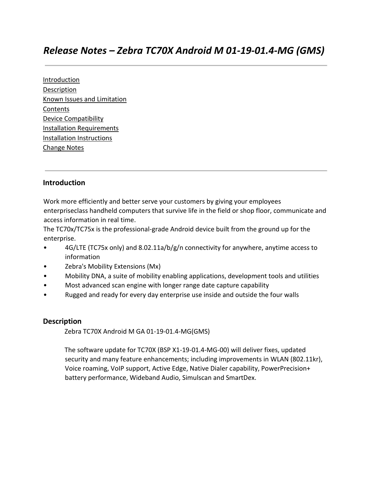[Introduction](#page-0-0) **[Description](#page-0-1)** [Known Issues and Limitation](#page-1-0) **[Contents](#page-1-1)** [Device Compatibility](#page-3-0) [Installation Requirements](#page-3-1) [Installation Instructions](#page-3-2) [Change Notes](#page-7-0)

# <span id="page-0-0"></span>**Introduction**

Work more efficiently and better serve your customers by giving your employees enterpriseclass handheld computers that survive life in the field or shop floor, communicate and access information in real time.

The TC70x/TC75x is the professional-grade Android device built from the ground up for the enterprise.

- 4G/LTE (TC75x only) and 8.02.11a/b/g/n connectivity for anywhere, anytime access to information
- Zebra's Mobility Extensions (Mx)
- Mobility DNA, a suite of mobility enabling applications, development tools and utilities
- Most advanced scan engine with longer range date capture capability
- Rugged and ready for every day enterprise use inside and outside the four walls

## <span id="page-0-1"></span>**Description**

Zebra TC70X Android M GA 01-19-01.4-MG(GMS)

The software update for TC70X (BSP X1-19-01.4-MG-00) will deliver fixes, updated security and many feature enhancements; including improvements in WLAN (802.11kr), Voice roaming, VoIP support, Active Edge, Native Dialer capability, PowerPrecision+ battery performance, Wideband Audio, Simulscan and SmartDex.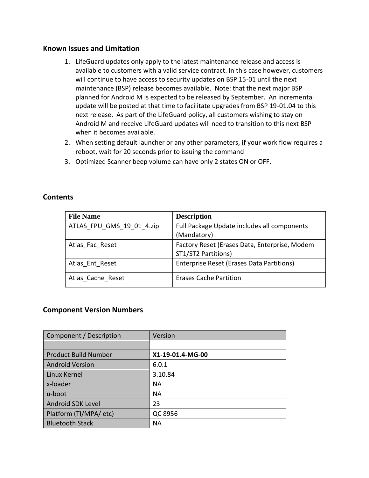## <span id="page-1-0"></span>**Known Issues and Limitation**

- 1. LifeGuard updates only apply to the latest maintenance release and access is available to customers with a valid service contract. In this case however, customers will continue to have access to security updates on BSP 15-01 until the next maintenance (BSP) release becomes available. Note: that the next major BSP planned for Android M is expected to be released by September. An incremental update will be posted at that time to facilitate upgrades from BSP 19-01.04 to this next release. As part of the LifeGuard policy, all customers wishing to stay on Android M and receive LifeGuard updates will need to transition to this next BSP when it becomes available.
- 2. When setting default launcher or any other parameters, **if** your work flow requires a reboot, wait for 20 seconds prior to issuing the command
- 3. Optimized Scanner beep volume can have only 2 states ON or OFF.

## <span id="page-1-1"></span>**Contents**

| <b>File Name</b>          | <b>Description</b>                                                   |
|---------------------------|----------------------------------------------------------------------|
| ATLAS FPU GMS 19 01 4.zip | Full Package Update includes all components<br>(Mandatory)           |
| Atlas Fac Reset           | Factory Reset (Erases Data, Enterprise, Modem<br>ST1/ST2 Partitions) |
| Atlas Ent Reset           | Enterprise Reset (Erases Data Partitions)                            |
| Atlas Cache Reset         | <b>Erases Cache Partition</b>                                        |

## **Component Version Numbers**

| Component / Description     | Version          |
|-----------------------------|------------------|
|                             |                  |
| <b>Product Build Number</b> | X1-19-01.4-MG-00 |
| <b>Android Version</b>      | 6.0.1            |
| Linux Kernel                | 3.10.84          |
| x-loader                    | <b>NA</b>        |
| u-boot                      | <b>NA</b>        |
| <b>Android SDK Level</b>    | 23               |
| Platform (TI/MPA/ etc)      | QC 8956          |
| <b>Bluetooth Stack</b>      | NA               |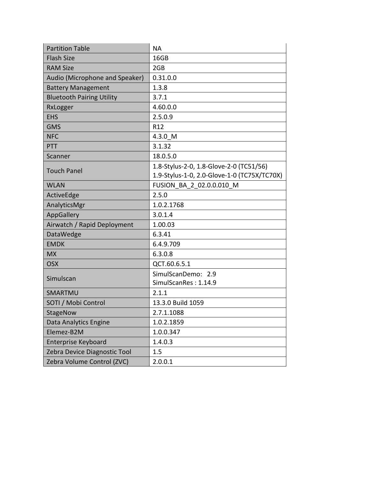| <b>Partition Table</b>           | <b>NA</b>                                   |
|----------------------------------|---------------------------------------------|
| <b>Flash Size</b>                | 16GB                                        |
| <b>RAM Size</b>                  | 2GB                                         |
| Audio (Microphone and Speaker)   | 0.31.0.0                                    |
| <b>Battery Management</b>        | 1.3.8                                       |
| <b>Bluetooth Pairing Utility</b> | 3.7.1                                       |
| RxLogger                         | 4.60.0.0                                    |
| <b>EHS</b>                       | 2.5.0.9                                     |
| <b>GMS</b>                       | R <sub>12</sub>                             |
| <b>NFC</b>                       | 4.3.0 M                                     |
| PTT                              | 3.1.32                                      |
| Scanner                          | 18.0.5.0                                    |
| <b>Touch Panel</b>               | 1.8-Stylus-2-0, 1.8-Glove-2-0 (TC51/56)     |
|                                  | 1.9-Stylus-1-0, 2.0-Glove-1-0 (TC75X/TC70X) |
| <b>WLAN</b>                      | FUSION BA 2 02.0.0.010 M                    |
| ActiveEdge                       | 2.5.0                                       |
| AnalyticsMgr                     | 1.0.2.1768                                  |
| AppGallery                       | 3.0.1.4                                     |
| Airwatch / Rapid Deployment      | 1.00.03                                     |
| DataWedge                        | 6.3.41                                      |
| <b>EMDK</b>                      | 6.4.9.709                                   |
| <b>MX</b>                        | 6.3.0.8                                     |
| <b>OSX</b>                       | QCT.60.6.5.1                                |
| Simulscan                        | SimulScanDemo: 2.9<br>SimulScanRes: 1.14.9  |
| <b>SMARTMU</b>                   | 2.1.1                                       |
| SOTI / Mobi Control              | 13.3.0 Build 1059                           |
| StageNow                         | 2.7.1.1088                                  |
| <b>Data Analytics Engine</b>     | 1.0.2.1859                                  |
| Elemez-B2M                       | 1.0.0.347                                   |
| <b>Enterprise Keyboard</b>       | 1.4.0.3                                     |
| Zebra Device Diagnostic Tool     | 1.5                                         |
| Zebra Volume Control (ZVC)       | 2.0.0.1                                     |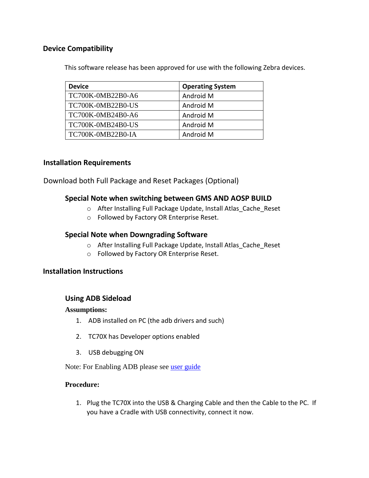# <span id="page-3-0"></span>**Device Compatibility**

This software release has been approved for use with the following Zebra devices.

| <b>Device</b>     | <b>Operating System</b> |
|-------------------|-------------------------|
| TC700K-0MB22B0-A6 | Android M               |
| TC700K-0MB22B0-US | Android M               |
| TC700K-0MB24B0-A6 | Android M               |
| TC700K-0MB24B0-US | Android M               |
| TC700K-0MB22B0-IA | Android M               |

## <span id="page-3-1"></span>**Installation Requirements**

Download both Full Package and Reset Packages (Optional)

## **Special Note when switching between GMS AND AOSP BUILD**

- o After Installing Full Package Update, Install Atlas\_Cache\_Reset
- o Followed by Factory OR Enterprise Reset.

## **Special Note when Downgrading Software**

- o After Installing Full Package Update, Install Atlas\_Cache\_Reset
- o Followed by Factory OR Enterprise Reset.

## <span id="page-3-2"></span>**Installation Instructions**

## **Using ADB Sideload**

### **Assumptions:**

- 1. ADB installed on PC (the adb drivers and such)
- 2. TC70X has Developer options enabled
- 3. USB debugging ON

Note: For Enabling ADB please see [user guide](https://www.zebra.com/apps/dlmanager?dlp=-227178c9720c025483893483886ea540bd07dd0f9873752cf891686eb4950400add13410300d57b7e36119af26c348bbe651f7b5315f7bbfa1ca9aa9bfaa1e6272b59e5d9cbcd10dac34d5d1fb67b14746caaf49c506ab4&c=us&l=en)

### **Procedure:**

1. Plug the TC70X into the USB & Charging Cable and then the Cable to the PC. If you have a Cradle with USB connectivity, connect it now.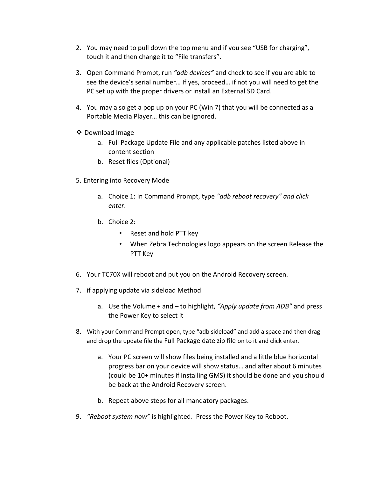- 2. You may need to pull down the top menu and if you see "USB for charging", touch it and then change it to "File transfers".
- 3. Open Command Prompt, run *"adb devices"* and check to see if you are able to see the device's serial number… If yes, proceed… if not you will need to get the PC set up with the proper drivers or install an External SD Card.
- 4. You may also get a pop up on your PC (Win 7) that you will be connected as a Portable Media Player… this can be ignored.
- ❖ Download Image
	- a. Full Package Update File and any applicable patches listed above in content section
	- b. Reset files (Optional)
- 5. Entering into Recovery Mode
	- a. Choice 1: In Command Prompt, type *"adb reboot recovery" and click enter*.
	- b. Choice 2:
		- Reset and hold PTT key
		- When Zebra Technologies logo appears on the screen Release the PTT Key
- 6. Your TC70X will reboot and put you on the Android Recovery screen.
- 7. if applying update via sideload Method
	- a. Use the Volume + and to highlight, *"Apply update from ADB"* and press the Power Key to select it
- 8. With your Command Prompt open, type "adb sideload" and add a space and then drag and drop the update file the Full Package date zip file on to it and click enter.
	- a. Your PC screen will show files being installed and a little blue horizontal progress bar on your device will show status… and after about 6 minutes (could be 10+ minutes if installing GMS) it should be done and you should be back at the Android Recovery screen.
	- b. Repeat above steps for all mandatory packages.
- 9. *"Reboot system now"* is highlighted. Press the Power Key to Reboot.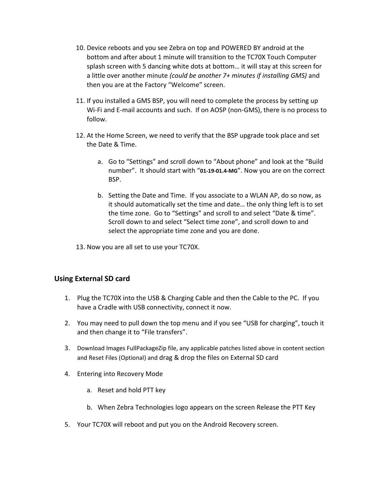- 10. Device reboots and you see Zebra on top and POWERED BY android at the bottom and after about 1 minute will transition to the TC70X Touch Computer splash screen with 5 dancing white dots at bottom… it will stay at this screen for a little over another minute *(could be another 7+ minutes if installing GMS)* and then you are at the Factory "Welcome" screen.
- 11. If you installed a GMS BSP, you will need to complete the process by setting up Wi-Fi and E-mail accounts and such. If on AOSP (non-GMS), there is no process to follow.
- 12. At the Home Screen, we need to verify that the BSP upgrade took place and set the Date & Time.
	- a. Go to "Settings" and scroll down to "About phone" and look at the "Build number". It should start with "**01-19-01.4-MG**". Now you are on the correct BSP.
	- b. Setting the Date and Time. If you associate to a WLAN AP, do so now, as it should automatically set the time and date… the only thing left is to set the time zone. Go to "Settings" and scroll to and select "Date & time". Scroll down to and select "Select time zone", and scroll down to and select the appropriate time zone and you are done.
- 13. Now you are all set to use your TC70X.

## **Using External SD card**

- 1. Plug the TC70X into the USB & Charging Cable and then the Cable to the PC. If you have a Cradle with USB connectivity, connect it now.
- 2. You may need to pull down the top menu and if you see "USB for charging", touch it and then change it to "File transfers".
- 3. Download Images FullPackageZip file, any applicable patches listed above in content section and Reset Files (Optional) and drag & drop the files on External SD card
- 4. Entering into Recovery Mode
	- a. Reset and hold PTT key
	- b. When Zebra Technologies logo appears on the screen Release the PTT Key
- 5. Your TC70X will reboot and put you on the Android Recovery screen.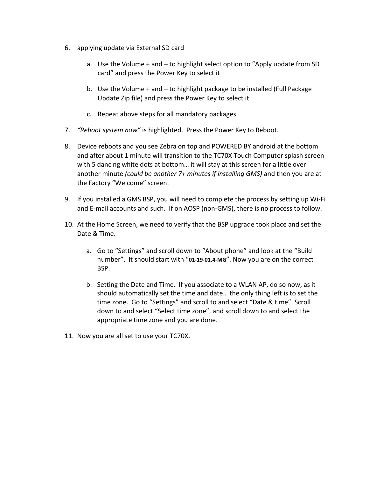- 6. applying update via External SD card
	- a. Use the Volume + and to highlight select option to "Apply update from SD card" and press the Power Key to select it
	- b. Use the Volume + and to highlight package to be installed (Full Package Update Zip file) and press the Power Key to select it.
	- c. Repeat above steps for all mandatory packages.
- 7. *"Reboot system now"* is highlighted. Press the Power Key to Reboot.
- 8. Device reboots and you see Zebra on top and POWERED BY android at the bottom and after about 1 minute will transition to the TC70X Touch Computer splash screen with 5 dancing white dots at bottom… it will stay at this screen for a little over another minute *(could be another 7+ minutes if installing GMS)* and then you are at the Factory "Welcome" screen.
- 9. If you installed a GMS BSP, you will need to complete the process by setting up Wi-Fi and E-mail accounts and such. If on AOSP (non-GMS), there is no process to follow.
- 10. At the Home Screen, we need to verify that the BSP upgrade took place and set the Date & Time.
	- a. Go to "Settings" and scroll down to "About phone" and look at the "Build number". It should start with "**01-19-01.4-MG**". Now you are on the correct BSP.
	- b. Setting the Date and Time. If you associate to a WLAN AP, do so now, as it should automatically set the time and date… the only thing left is to set the time zone. Go to "Settings" and scroll to and select "Date & time". Scroll down to and select "Select time zone", and scroll down to and select the appropriate time zone and you are done.
- 11. Now you are all set to use your TC70X.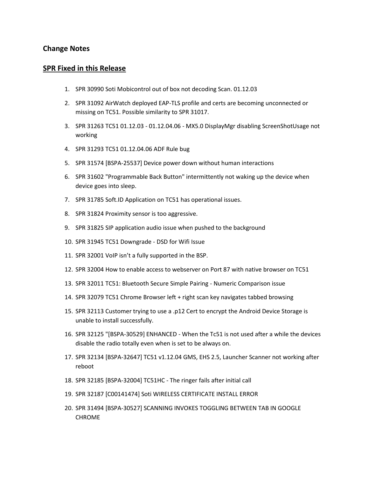### <span id="page-7-0"></span>**Change Notes**

#### **SPR Fixed in this Release**

- 1. SPR 30990 Soti Mobicontrol out of box not decoding Scan. 01.12.03
- 2. SPR 31092 AirWatch deployed EAP-TLS profile and certs are becoming unconnected or missing on TC51. Possible similarity to SPR 31017.
- 3. SPR 31263 TC51 01.12.03 01.12.04.06 MX5.0 DisplayMgr disabling ScreenShotUsage not working
- 4. SPR 31293 TC51 01.12.04.06 ADF Rule bug
- 5. SPR 31574 [BSPA-25537] Device power down without human interactions
- 6. SPR 31602 "Programmable Back Button" intermittently not waking up the device when device goes into sleep.
- 7. SPR 31785 Soft.ID Application on TC51 has operational issues.
- 8. SPR 31824 Proximity sensor is too aggressive.
- 9. SPR 31825 SIP application audio issue when pushed to the background
- 10. SPR 31945 TC51 Downgrade DSD for Wifi Issue
- 11. SPR 32001 VoIP isn't a fully supported in the BSP.
- 12. SPR 32004 How to enable access to webserver on Port 87 with native browser on TC51
- 13. SPR 32011 TC51: Bluetooth Secure Simple Pairing Numeric Comparison issue
- 14. SPR 32079 TC51 Chrome Browser left + right scan key navigates tabbed browsing
- 15. SPR 32113 Customer trying to use a .p12 Cert to encrypt the Android Device Storage is unable to install successfully.
- 16. SPR 32125 "[BSPA-30529] ENHANCED When the Tc51 is not used after a while the devices disable the radio totally even when is set to be always on.
- 17. SPR 32134 [BSPA-32647] TC51 v1.12.04 GMS, EHS 2.5, Launcher Scanner not working after reboot
- 18. SPR 32185 [BSPA-32004] TC51HC The ringer fails after initial call
- 19. SPR 32187 [C00141474] Soti WIRELESS CERTIFICATE INSTALL ERROR
- 20. SPR 31494 [BSPA-30527] SCANNING INVOKES TOGGLING BETWEEN TAB IN GOOGLE CHROME